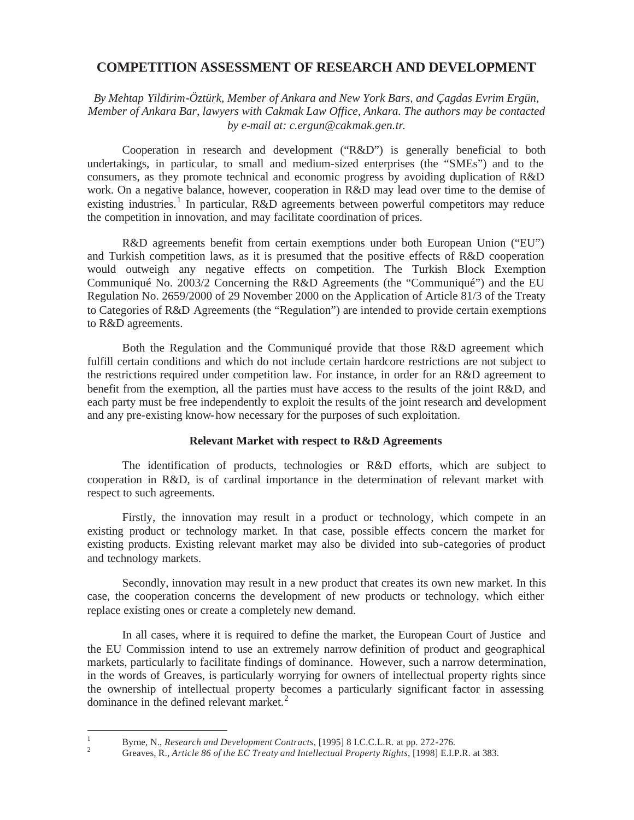# **COMPETITION ASSESSMENT OF RESEARCH AND DEVELOPMENT**

*By Mehtap Yildirim-Öztürk, Member of Ankara and New York Bars, and Çagdas Evrim Ergün, Member of Ankara Bar, lawyers with Cakmak Law Office, Ankara. The authors may be contacted by e-mail at: c.ergun@cakmak.gen.tr.*

Cooperation in research and development ("R&D") is generally beneficial to both undertakings, in particular, to small and medium-sized enterprises (the "SMEs") and to the consumers, as they promote technical and economic progress by avoiding duplication of R&D work. On a negative balance, however, cooperation in R&D may lead over time to the demise of existing industries.<sup>1</sup> In particular, R&D agreements between powerful competitors may reduce the competition in innovation, and may facilitate coordination of prices.

R&D agreements benefit from certain exemptions under both European Union ("EU") and Turkish competition laws, as it is presumed that the positive effects of R&D cooperation would outweigh any negative effects on competition. The Turkish Block Exemption Communiqué No. 2003/2 Concerning the R&D Agreements (the "Communiqué") and the EU Regulation No. 2659/2000 of 29 November 2000 on the Application of Article 81/3 of the Treaty to Categories of R&D Agreements (the "Regulation") are intended to provide certain exemptions to R&D agreements.

Both the Regulation and the Communiqué provide that those R&D agreement which fulfill certain conditions and which do not include certain hardcore restrictions are not subject to the restrictions required under competition law. For instance, in order for an R&D agreement to benefit from the exemption, all the parties must have access to the results of the joint R&D, and each party must be free independently to exploit the results of the joint research and development and any pre-existing know-how necessary for the purposes of such exploitation.

## **Relevant Market with respect to R&D Agreements**

The identification of products, technologies or R&D efforts, which are subject to cooperation in R&D, is of cardinal importance in the determination of relevant market with respect to such agreements.

Firstly, the innovation may result in a product or technology, which compete in an existing product or technology market. In that case, possible effects concern the market for existing products. Existing relevant market may also be divided into sub-categories of product and technology markets.

Secondly, innovation may result in a new product that creates its own new market. In this case, the cooperation concerns the development of new products or technology, which either replace existing ones or create a completely new demand.

In all cases, where it is required to define the market, the European Court of Justice and the EU Commission intend to use an extremely narrow definition of product and geographical markets, particularly to facilitate findings of dominance. However, such a narrow determination, in the words of Greaves, is particularly worrying for owners of intellectual property rights since the ownership of intellectual property becomes a particularly significant factor in assessing dominance in the defined relevant market.<sup>2</sup>

<sup>&</sup>lt;sup>1</sup> Byrne, N., *Research and Development Contracts*, [1995] 8 I.C.C.L.R. at pp. 272-276.<br><sup>2</sup> Greaves, R., *Article 86 of the EC Treaty and Intellectual Property Rights*, [1998] E.I.P.R. at 383.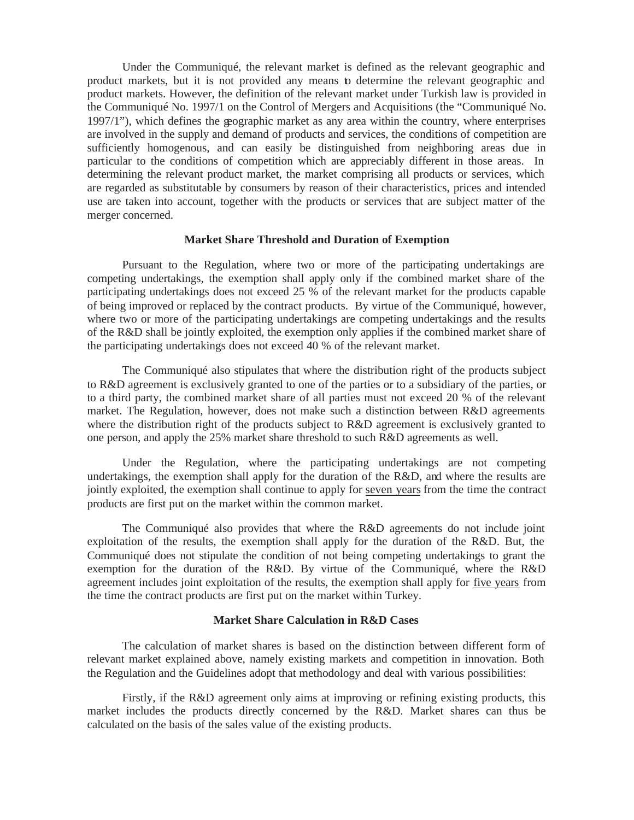Under the Communiqué, the relevant market is defined as the relevant geographic and product markets, but it is not provided any means to determine the relevant geographic and product markets. However, the definition of the relevant market under Turkish law is provided in the Communiqué No. 1997/1 on the Control of Mergers and Acquisitions (the "Communiqué No. 1997/1"), which defines the geographic market as any area within the country, where enterprises are involved in the supply and demand of products and services, the conditions of competition are sufficiently homogenous, and can easily be distinguished from neighboring areas due in particular to the conditions of competition which are appreciably different in those areas. In determining the relevant product market, the market comprising all products or services, which are regarded as substitutable by consumers by reason of their characteristics, prices and intended use are taken into account, together with the products or services that are subject matter of the merger concerned.

#### **Market Share Threshold and Duration of Exemption**

Pursuant to the Regulation, where two or more of the participating undertakings are competing undertakings, the exemption shall apply only if the combined market share of the participating undertakings does not exceed 25 % of the relevant market for the products capable of being improved or replaced by the contract products. By virtue of the Communiqué, however, where two or more of the participating undertakings are competing undertakings and the results of the R&D shall be jointly exploited, the exemption only applies if the combined market share of the participating undertakings does not exceed 40 % of the relevant market.

The Communiqué also stipulates that where the distribution right of the products subject to R&D agreement is exclusively granted to one of the parties or to a subsidiary of the parties, or to a third party, the combined market share of all parties must not exceed 20 % of the relevant market. The Regulation, however, does not make such a distinction between R&D agreements where the distribution right of the products subject to R&D agreement is exclusively granted to one person, and apply the 25% market share threshold to such R&D agreements as well.

Under the Regulation, where the participating undertakings are not competing undertakings, the exemption shall apply for the duration of the R&D, and where the results are jointly exploited, the exemption shall continue to apply for seven years from the time the contract products are first put on the market within the common market.

The Communiqué also provides that where the R&D agreements do not include joint exploitation of the results, the exemption shall apply for the duration of the R&D. But, the Communiqué does not stipulate the condition of not being competing undertakings to grant the exemption for the duration of the R&D. By virtue of the Communiqué, where the R&D agreement includes joint exploitation of the results, the exemption shall apply for five years from the time the contract products are first put on the market within Turkey.

### **Market Share Calculation in R&D Cases**

The calculation of market shares is based on the distinction between different form of relevant market explained above, namely existing markets and competition in innovation. Both the Regulation and the Guidelines adopt that methodology and deal with various possibilities:

Firstly, if the R&D agreement only aims at improving or refining existing products, this market includes the products directly concerned by the R&D. Market shares can thus be calculated on the basis of the sales value of the existing products.